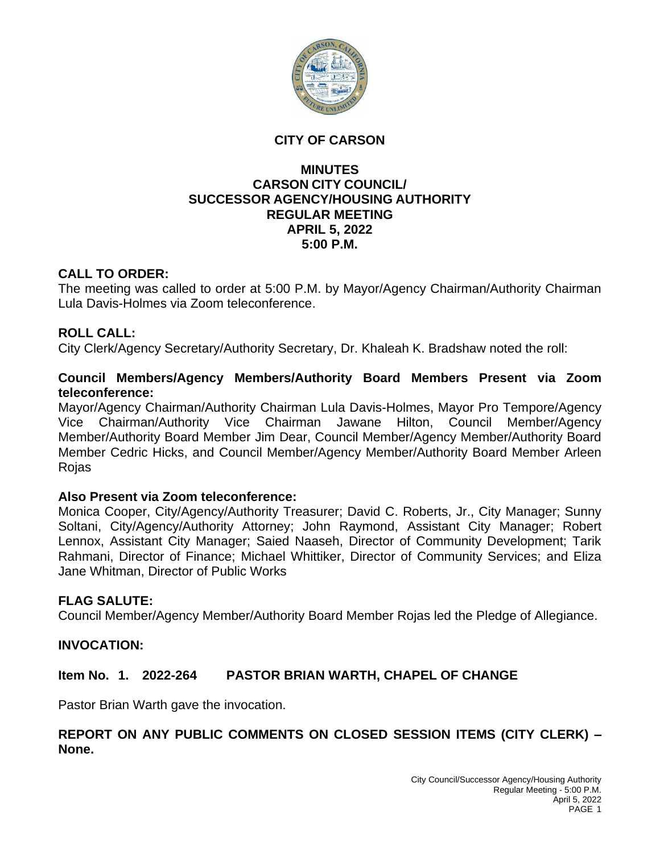

#### **CITY OF CARSON**

## **MINUTES CARSON CITY COUNCIL/ SUCCESSOR AGENCY/HOUSING AUTHORITY REGULAR MEETING APRIL 5, 2022 5:00 P.M.**

# **CALL TO ORDER:**

The meeting was called to order at 5:00 P.M. by Mayor/Agency Chairman/Authority Chairman Lula Davis-Holmes via Zoom teleconference.

# **ROLL CALL:**

City Clerk/Agency Secretary/Authority Secretary, Dr. Khaleah K. Bradshaw noted the roll:

#### **Council Members/Agency Members/Authority Board Members Present via Zoom teleconference:**

Mayor/Agency Chairman/Authority Chairman Lula Davis-Holmes, Mayor Pro Tempore/Agency Vice Chairman/Authority Vice Chairman Jawane Hilton, Council Member/Agency Member/Authority Board Member Jim Dear, Council Member/Agency Member/Authority Board Member Cedric Hicks, and Council Member/Agency Member/Authority Board Member Arleen Rojas

#### **Also Present via Zoom teleconference:**

Monica Cooper, City/Agency/Authority Treasurer; David C. Roberts, Jr., City Manager; Sunny Soltani, City/Agency/Authority Attorney; John Raymond, Assistant City Manager; Robert Lennox, Assistant City Manager; Saied Naaseh, Director of Community Development; Tarik Rahmani, Director of Finance; Michael Whittiker, Director of Community Services; and Eliza Jane Whitman, Director of Public Works

#### **FLAG SALUTE:**

Council Member/Agency Member/Authority Board Member Rojas led the Pledge of Allegiance.

#### **INVOCATION:**

# **Item No. 1. 2022-264 PASTOR BRIAN WARTH, CHAPEL OF CHANGE**

Pastor Brian Warth gave the invocation.

# **REPORT ON ANY PUBLIC COMMENTS ON CLOSED SESSION ITEMS (CITY CLERK) – None.**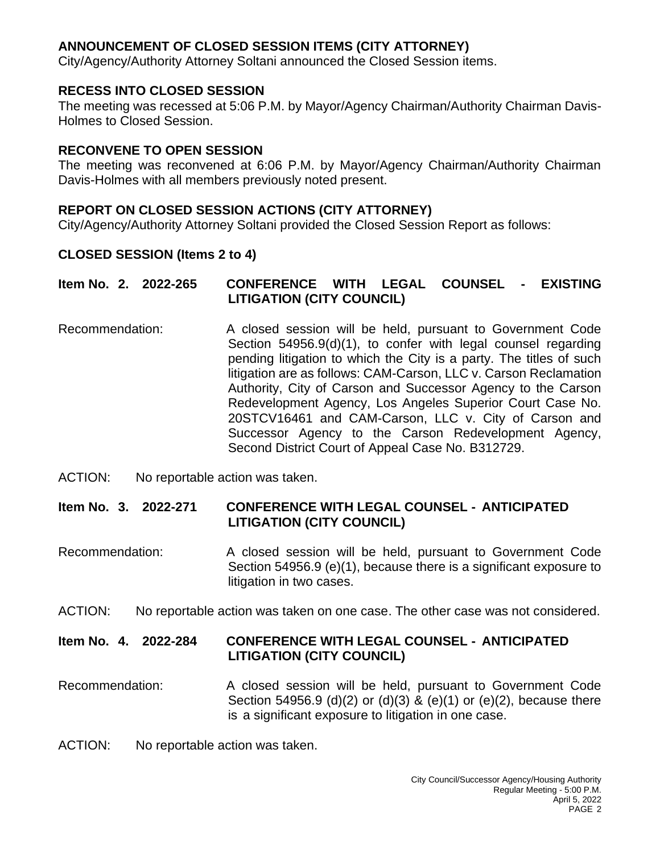# **ANNOUNCEMENT OF CLOSED SESSION ITEMS (CITY ATTORNEY)**

City/Agency/Authority Attorney Soltani announced the Closed Session items.

# **RECESS INTO CLOSED SESSION**

The meeting was recessed at 5:06 P.M. by Mayor/Agency Chairman/Authority Chairman Davis-Holmes to Closed Session.

#### **RECONVENE TO OPEN SESSION**

The meeting was reconvened at 6:06 P.M. by Mayor/Agency Chairman/Authority Chairman Davis-Holmes with all members previously noted present.

# **REPORT ON CLOSED SESSION ACTIONS (CITY ATTORNEY)**

City/Agency/Authority Attorney Soltani provided the Closed Session Report as follows:

# **CLOSED SESSION (Items 2 to 4)**

| Item No. 2. 2022-265 | <b>COUNSEL</b><br>- EXISTING<br><b>LEGAL</b><br><b>CONFERENCE</b><br><b>WITH</b><br><b>LITIGATION (CITY COUNCIL)</b>                                                                                                                                                                                                                                                                                                                                                                                                                                                      |
|----------------------|---------------------------------------------------------------------------------------------------------------------------------------------------------------------------------------------------------------------------------------------------------------------------------------------------------------------------------------------------------------------------------------------------------------------------------------------------------------------------------------------------------------------------------------------------------------------------|
| Recommendation:      | A closed session will be held, pursuant to Government Code<br>Section 54956.9(d)(1), to confer with legal counsel regarding<br>pending litigation to which the City is a party. The titles of such<br>litigation are as follows: CAM-Carson, LLC v. Carson Reclamation<br>Authority, City of Carson and Successor Agency to the Carson<br>Redevelopment Agency, Los Angeles Superior Court Case No.<br>20STCV16461 and CAM-Carson, LLC v. City of Carson and<br>Successor Agency to the Carson Redevelopment Agency,<br>Second District Court of Appeal Case No. B312729. |

ACTION: No reportable action was taken.

# **Item No. 3. 2022-271 CONFERENCE WITH LEGAL COUNSEL - ANTICIPATED LITIGATION (CITY COUNCIL)**

- Recommendation: A closed session will be held, pursuant to Government Code Section 54956.9 (e)(1), because there is a significant exposure to litigation in two cases.
- ACTION: No reportable action was taken on one case. The other case was not considered.

# **Item No. 4. 2022-284 CONFERENCE WITH LEGAL COUNSEL - ANTICIPATED LITIGATION (CITY COUNCIL)**

Recommendation: A closed session will be held, pursuant to Government Code Section 54956.9 (d)(2) or (d)(3) & (e)(1) or (e)(2), because there is a significant exposure to litigation in one case.

ACTION: No reportable action was taken.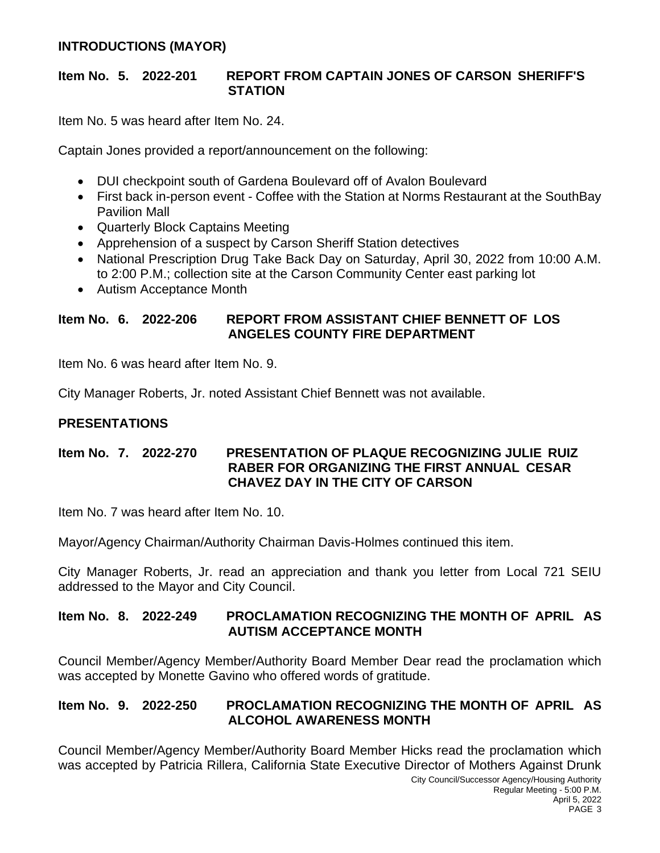# **INTRODUCTIONS (MAYOR)**

#### **Item No. 5. 2022-201 REPORT FROM CAPTAIN JONES OF CARSON SHERIFF'S STATION**

Item No. 5 was heard after Item No. 24.

Captain Jones provided a report/announcement on the following:

- DUI checkpoint south of Gardena Boulevard off of Avalon Boulevard
- First back in-person event Coffee with the Station at Norms Restaurant at the SouthBay Pavilion Mall
- Quarterly Block Captains Meeting
- Apprehension of a suspect by Carson Sheriff Station detectives
- National Prescription Drug Take Back Day on Saturday, April 30, 2022 from 10:00 A.M. to 2:00 P.M.; collection site at the Carson Community Center east parking lot
- Autism Acceptance Month

# **Item No. 6. 2022-206 REPORT FROM ASSISTANT CHIEF BENNETT OF LOS ANGELES COUNTY FIRE DEPARTMENT**

Item No. 6 was heard after Item No. 9.

City Manager Roberts, Jr. noted Assistant Chief Bennett was not available.

# **PRESENTATIONS**

#### **Item No. 7. 2022-270 PRESENTATION OF PLAQUE RECOGNIZING JULIE RUIZ RABER FOR ORGANIZING THE FIRST ANNUAL CESAR CHAVEZ DAY IN THE CITY OF CARSON**

Item No. 7 was heard after Item No. 10.

Mayor/Agency Chairman/Authority Chairman Davis-Holmes continued this item.

City Manager Roberts, Jr. read an appreciation and thank you letter from Local 721 SEIU addressed to the Mayor and City Council.

#### **Item No. 8. 2022-249 PROCLAMATION RECOGNIZING THE MONTH OF APRIL AS AUTISM ACCEPTANCE MONTH**

Council Member/Agency Member/Authority Board Member Dear read the proclamation which was accepted by Monette Gavino who offered words of gratitude.

# **Item No. 9. 2022-250 PROCLAMATION RECOGNIZING THE MONTH OF APRIL AS ALCOHOL AWARENESS MONTH**

Council Member/Agency Member/Authority Board Member Hicks read the proclamation which was accepted by Patricia Rillera, California State Executive Director of Mothers Against Drunk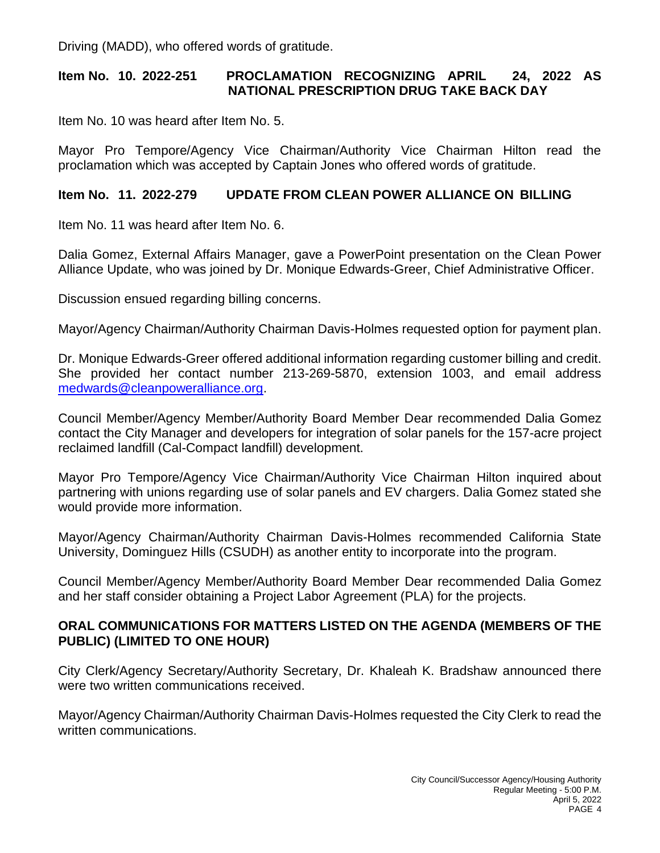Driving (MADD), who offered words of gratitude.

# **Item No. 10. 2022-251 PROCLAMATION RECOGNIZING APRIL 24, 2022 AS NATIONAL PRESCRIPTION DRUG TAKE BACK DAY**

Item No. 10 was heard after Item No. 5.

Mayor Pro Tempore/Agency Vice Chairman/Authority Vice Chairman Hilton read the proclamation which was accepted by Captain Jones who offered words of gratitude.

# **Item No. 11. 2022-279 UPDATE FROM CLEAN POWER ALLIANCE ON BILLING**

Item No. 11 was heard after Item No. 6.

Dalia Gomez, External Affairs Manager, gave a PowerPoint presentation on the Clean Power Alliance Update, who was joined by Dr. Monique Edwards-Greer, Chief Administrative Officer.

Discussion ensued regarding billing concerns.

Mayor/Agency Chairman/Authority Chairman Davis-Holmes requested option for payment plan.

Dr. Monique Edwards-Greer offered additional information regarding customer billing and credit. She provided her contact number 213-269-5870, extension 1003, and email address [medwards@cleanpoweralliance.org.](mailto:medwards@cleanpoweralliance.org)

Council Member/Agency Member/Authority Board Member Dear recommended Dalia Gomez contact the City Manager and developers for integration of solar panels for the 157-acre project reclaimed landfill (Cal-Compact landfill) development.

Mayor Pro Tempore/Agency Vice Chairman/Authority Vice Chairman Hilton inquired about partnering with unions regarding use of solar panels and EV chargers. Dalia Gomez stated she would provide more information.

Mayor/Agency Chairman/Authority Chairman Davis-Holmes recommended California State University, Dominguez Hills (CSUDH) as another entity to incorporate into the program.

Council Member/Agency Member/Authority Board Member Dear recommended Dalia Gomez and her staff consider obtaining a Project Labor Agreement (PLA) for the projects.

# **ORAL COMMUNICATIONS FOR MATTERS LISTED ON THE AGENDA (MEMBERS OF THE PUBLIC) (LIMITED TO ONE HOUR)**

City Clerk/Agency Secretary/Authority Secretary, Dr. Khaleah K. Bradshaw announced there were two written communications received.

Mayor/Agency Chairman/Authority Chairman Davis-Holmes requested the City Clerk to read the written communications.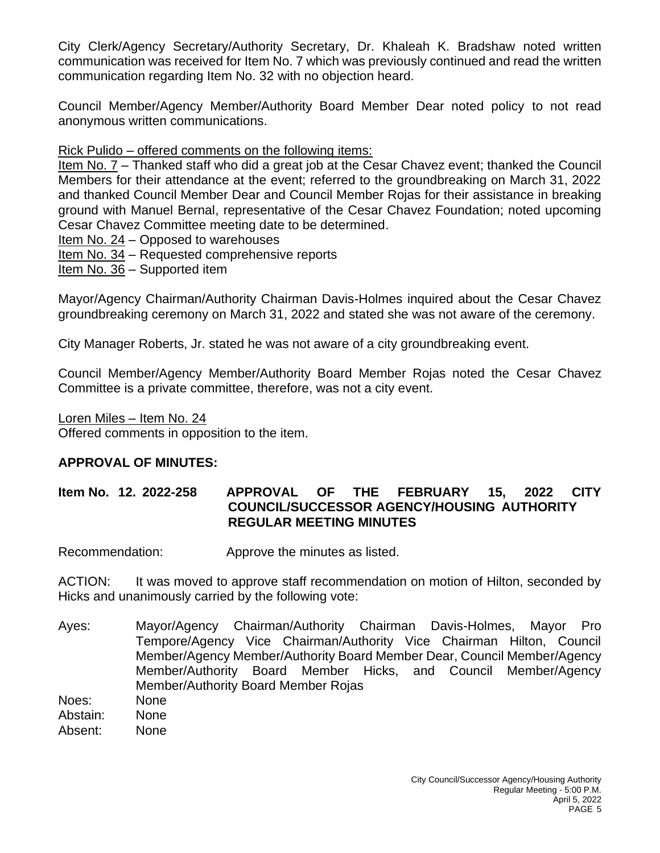City Clerk/Agency Secretary/Authority Secretary, Dr. Khaleah K. Bradshaw noted written communication was received for Item No. 7 which was previously continued and read the written communication regarding Item No. 32 with no objection heard.

Council Member/Agency Member/Authority Board Member Dear noted policy to not read anonymous written communications.

# Rick Pulido – offered comments on the following items:

Item No. 7 – Thanked staff who did a great job at the Cesar Chavez event; thanked the Council Members for their attendance at the event; referred to the groundbreaking on March 31, 2022 and thanked Council Member Dear and Council Member Rojas for their assistance in breaking ground with Manuel Bernal, representative of the Cesar Chavez Foundation; noted upcoming Cesar Chavez Committee meeting date to be determined.

Item No. 24 – Opposed to warehouses

- Item No. 34 Requested comprehensive reports
- Item No. 36 Supported item

Mayor/Agency Chairman/Authority Chairman Davis-Holmes inquired about the Cesar Chavez groundbreaking ceremony on March 31, 2022 and stated she was not aware of the ceremony.

City Manager Roberts, Jr. stated he was not aware of a city groundbreaking event.

Council Member/Agency Member/Authority Board Member Rojas noted the Cesar Chavez Committee is a private committee, therefore, was not a city event.

Loren Miles – Item No. 24

Offered comments in opposition to the item.

# **APPROVAL OF MINUTES:**

# **Item No. 12. 2022-258 APPROVAL OF THE FEBRUARY 15, 2022 CITY COUNCIL/SUCCESSOR AGENCY/HOUSING AUTHORITY REGULAR MEETING MINUTES**

Recommendation: Approve the minutes as listed.

ACTION: It was moved to approve staff recommendation on motion of Hilton, seconded by Hicks and unanimously carried by the following vote:

- Ayes: Mayor/Agency Chairman/Authority Chairman Davis-Holmes, Mayor Pro Tempore/Agency Vice Chairman/Authority Vice Chairman Hilton, Council Member/Agency Member/Authority Board Member Dear, Council Member/Agency Member/Authority Board Member Hicks, and Council Member/Agency Member/Authority Board Member Rojas
- Noes: None
- Abstain: None
- Absent: None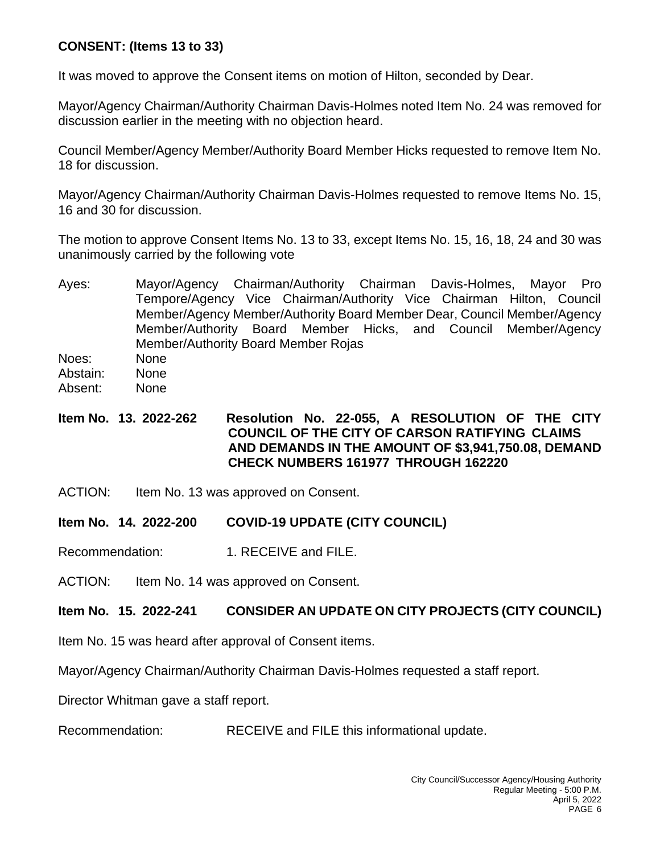# **CONSENT: (Items 13 to 33)**

It was moved to approve the Consent items on motion of Hilton, seconded by Dear.

Mayor/Agency Chairman/Authority Chairman Davis-Holmes noted Item No. 24 was removed for discussion earlier in the meeting with no objection heard.

Council Member/Agency Member/Authority Board Member Hicks requested to remove Item No. 18 for discussion.

Mayor/Agency Chairman/Authority Chairman Davis-Holmes requested to remove Items No. 15, 16 and 30 for discussion.

The motion to approve Consent Items No. 13 to 33, except Items No. 15, 16, 18, 24 and 30 was unanimously carried by the following vote

Ayes: Mayor/Agency Chairman/Authority Chairman Davis-Holmes, Mayor Pro Tempore/Agency Vice Chairman/Authority Vice Chairman Hilton, Council Member/Agency Member/Authority Board Member Dear, Council Member/Agency Member/Authority Board Member Hicks, and Council Member/Agency Member/Authority Board Member Rojas

Noes: None

Abstain: None

Absent: None

# **Item No. 13. 2022-262 Resolution No. 22-055, A RESOLUTION OF THE CITY COUNCIL OF THE CITY OF CARSON RATIFYING CLAIMS AND DEMANDS IN THE AMOUNT OF \$3,941,750.08, DEMAND CHECK NUMBERS 161977 THROUGH 162220**

ACTION: Item No. 13 was approved on Consent.

# **Item No. 14. 2022-200 COVID-19 UPDATE (CITY COUNCIL)**

Recommendation: 1. RECEIVE and FILE.

ACTION: Item No. 14 was approved on Consent.

# **Item No. 15. 2022-241 CONSIDER AN UPDATE ON CITY PROJECTS (CITY COUNCIL)**

Item No. 15 was heard after approval of Consent items.

Mayor/Agency Chairman/Authority Chairman Davis-Holmes requested a staff report.

Director Whitman gave a staff report.

Recommendation: RECEIVE and FILE this informational update.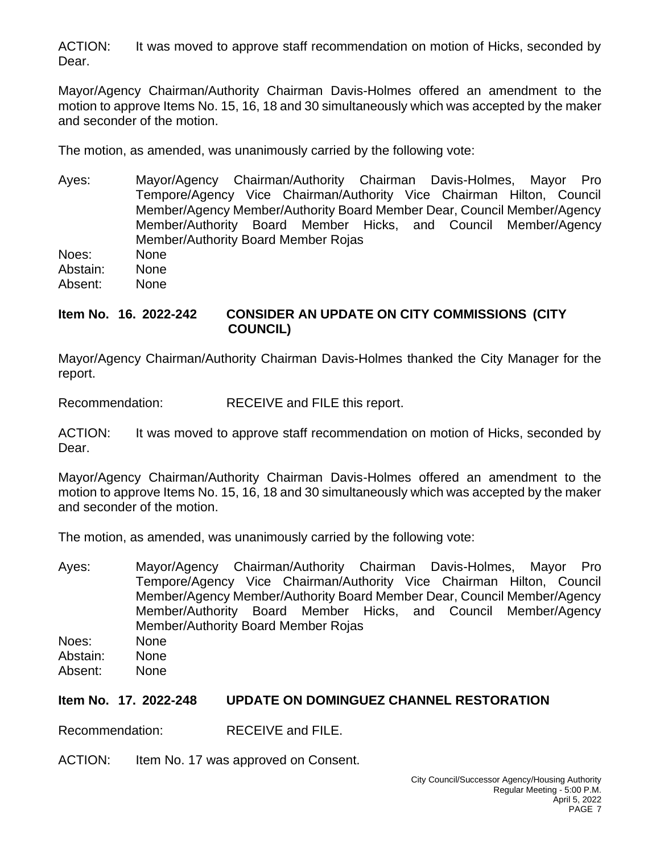ACTION: It was moved to approve staff recommendation on motion of Hicks, seconded by Dear.

Mayor/Agency Chairman/Authority Chairman Davis-Holmes offered an amendment to the motion to approve Items No. 15, 16, 18 and 30 simultaneously which was accepted by the maker and seconder of the motion.

The motion, as amended, was unanimously carried by the following vote:

Ayes: Mayor/Agency Chairman/Authority Chairman Davis-Holmes, Mayor Pro Tempore/Agency Vice Chairman/Authority Vice Chairman Hilton, Council Member/Agency Member/Authority Board Member Dear, Council Member/Agency Member/Authority Board Member Hicks, and Council Member/Agency Member/Authority Board Member Rojas

Noes: None Abstain: None Absent: None

# **Item No. 16. 2022-242 CONSIDER AN UPDATE ON CITY COMMISSIONS (CITY COUNCIL)**

Mayor/Agency Chairman/Authority Chairman Davis-Holmes thanked the City Manager for the report.

Recommendation: RECEIVE and FILE this report.

ACTION: It was moved to approve staff recommendation on motion of Hicks, seconded by Dear.

Mayor/Agency Chairman/Authority Chairman Davis-Holmes offered an amendment to the motion to approve Items No. 15, 16, 18 and 30 simultaneously which was accepted by the maker and seconder of the motion.

The motion, as amended, was unanimously carried by the following vote:

Ayes: Mayor/Agency Chairman/Authority Chairman Davis-Holmes, Mayor Pro Tempore/Agency Vice Chairman/Authority Vice Chairman Hilton, Council Member/Agency Member/Authority Board Member Dear, Council Member/Agency Member/Authority Board Member Hicks, and Council Member/Agency Member/Authority Board Member Rojas Noes: None Abstain: None Absent: None

#### **Item No. 17. 2022-248 UPDATE ON DOMINGUEZ CHANNEL RESTORATION**

Recommendation: RECEIVE and FILE.

ACTION: Item No. 17 was approved on Consent.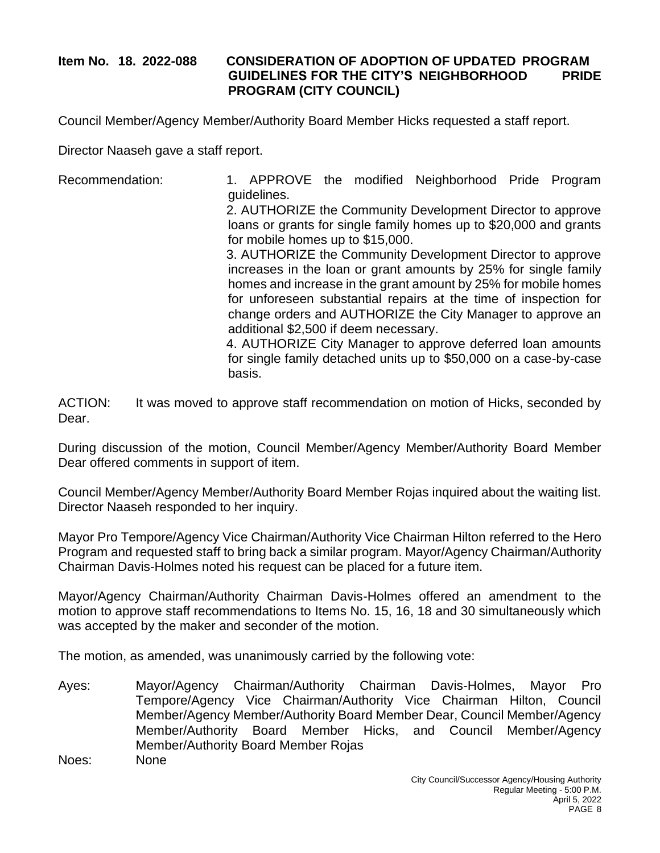# **Item No. 18. 2022-088 CONSIDERATION OF ADOPTION OF UPDATED PROGRAM GUIDELINES FOR THE CITY'S NEIGHBORHOOD PRIDE PROGRAM (CITY COUNCIL)**

Council Member/Agency Member/Authority Board Member Hicks requested a staff report.

Director Naaseh gave a staff report.

Recommendation: 1. APPROVE the modified Neighborhood Pride Program guidelines.

2. AUTHORIZE the Community Development Director to approve loans or grants for single family homes up to \$20,000 and grants for mobile homes up to \$15,000.

3. AUTHORIZE the Community Development Director to approve increases in the loan or grant amounts by 25% for single family homes and increase in the grant amount by 25% for mobile homes for unforeseen substantial repairs at the time of inspection for change orders and AUTHORIZE the City Manager to approve an additional \$2,500 if deem necessary.

4. AUTHORIZE City Manager to approve deferred loan amounts for single family detached units up to \$50,000 on a case-by-case basis.

ACTION: It was moved to approve staff recommendation on motion of Hicks, seconded by Dear.

During discussion of the motion, Council Member/Agency Member/Authority Board Member Dear offered comments in support of item.

Council Member/Agency Member/Authority Board Member Rojas inquired about the waiting list. Director Naaseh responded to her inquiry.

Mayor Pro Tempore/Agency Vice Chairman/Authority Vice Chairman Hilton referred to the Hero Program and requested staff to bring back a similar program. Mayor/Agency Chairman/Authority Chairman Davis-Holmes noted his request can be placed for a future item.

Mayor/Agency Chairman/Authority Chairman Davis-Holmes offered an amendment to the motion to approve staff recommendations to Items No. 15, 16, 18 and 30 simultaneously which was accepted by the maker and seconder of the motion.

The motion, as amended, was unanimously carried by the following vote:

Ayes: Mayor/Agency Chairman/Authority Chairman Davis-Holmes, Mayor Pro Tempore/Agency Vice Chairman/Authority Vice Chairman Hilton, Council Member/Agency Member/Authority Board Member Dear, Council Member/Agency Member/Authority Board Member Hicks, and Council Member/Agency Member/Authority Board Member Rojas Noes: None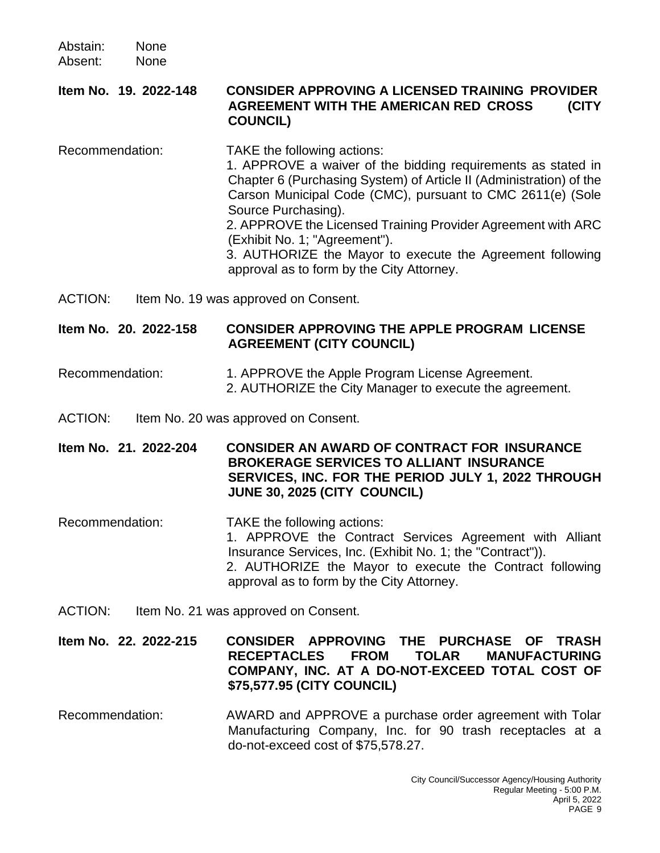Abstain: None Absent: None

**Item No. 19. 2022-148 CONSIDER APPROVING A LICENSED TRAINING PROVIDER AGREEMENT WITH THE AMERICAN RED CROSS (CITY COUNCIL)**

Recommendation: TAKE the following actions: 1. APPROVE a waiver of the bidding requirements as stated in Chapter 6 (Purchasing System) of Article II (Administration) of the Carson Municipal Code (CMC), pursuant to CMC 2611(e) (Sole Source Purchasing). 2. APPROVE the Licensed Training Provider Agreement with ARC (Exhibit No. 1; "Agreement"). 3. AUTHORIZE the Mayor to execute the Agreement following approval as to form by the City Attorney.

ACTION: Item No. 19 was approved on Consent.

**Item No. 20. 2022-158 CONSIDER APPROVING THE APPLE PROGRAM LICENSE AGREEMENT (CITY COUNCIL)**

Recommendation: 1. APPROVE the Apple Program License Agreement. 2. AUTHORIZE the City Manager to execute the agreement.

ACTION: Item No. 20 was approved on Consent.

**Item No. 21. 2022-204 CONSIDER AN AWARD OF CONTRACT FOR INSURANCE BROKERAGE SERVICES TO ALLIANT INSURANCE SERVICES, INC. FOR THE PERIOD JULY 1, 2022 THROUGH JUNE 30, 2025 (CITY COUNCIL)**

- Recommendation: TAKE the following actions: 1. APPROVE the Contract Services Agreement with Alliant Insurance Services, Inc. (Exhibit No. 1; the "Contract")). 2. AUTHORIZE the Mayor to execute the Contract following approval as to form by the City Attorney.
- ACTION: Item No. 21 was approved on Consent.

**Item No. 22. 2022-215 CONSIDER APPROVING THE PURCHASE OF TRASH RECEPTACLES FROM TOLAR MANUFACTURING COMPANY, INC. AT A DO-NOT-EXCEED TOTAL COST OF \$75,577.95 (CITY COUNCIL)**

Recommendation: AWARD and APPROVE a purchase order agreement with Tolar Manufacturing Company, Inc. for 90 trash receptacles at a do-not-exceed cost of \$75,578.27.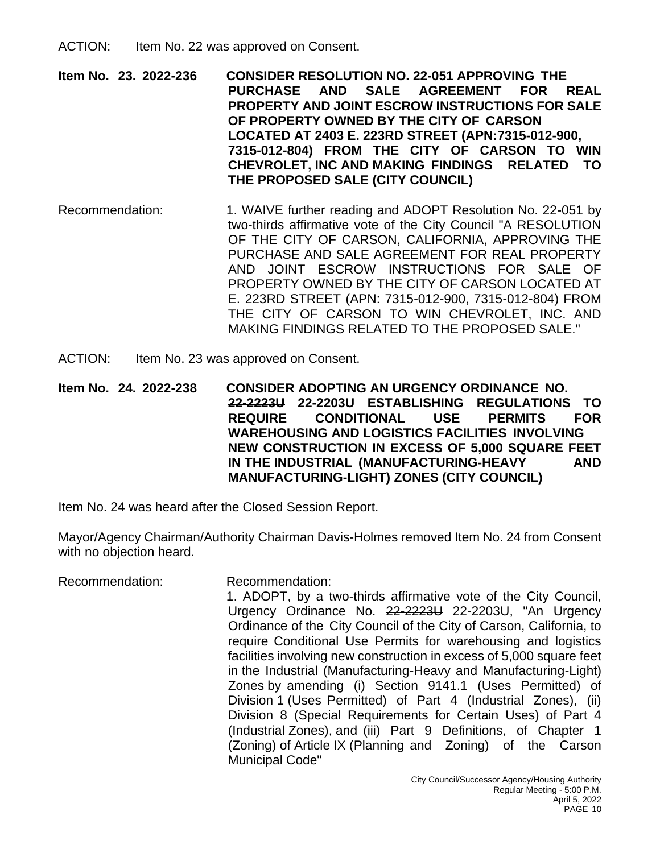ACTION: Item No. 22 was approved on Consent.

**Item No. 23. 2022-236 CONSIDER RESOLUTION NO. 22-051 APPROVING THE PURCHASE AND SALE AGREEMENT FOR REAL PROPERTY AND JOINT ESCROW INSTRUCTIONS FOR SALE OF PROPERTY OWNED BY THE CITY OF CARSON LOCATED AT 2403 E. 223RD STREET (APN:7315-012-900, 7315-012-804) FROM THE CITY OF CARSON TO WIN CHEVROLET, INC AND MAKING FINDINGS RELATED TO THE PROPOSED SALE (CITY COUNCIL)**

- Recommendation: 1. WAIVE further reading and ADOPT Resolution No. 22-051 by two-thirds affirmative vote of the City Council "A RESOLUTION OF THE CITY OF CARSON, CALIFORNIA, APPROVING THE PURCHASE AND SALE AGREEMENT FOR REAL PROPERTY AND JOINT ESCROW INSTRUCTIONS FOR SALE OF PROPERTY OWNED BY THE CITY OF CARSON LOCATED AT E. 223RD STREET (APN: 7315-012-900, 7315-012-804) FROM THE CITY OF CARSON TO WIN CHEVROLET, INC. AND MAKING FINDINGS RELATED TO THE PROPOSED SALE."
- ACTION: Item No. 23 was approved on Consent.

**Item No. 24. 2022-238 CONSIDER ADOPTING AN URGENCY ORDINANCE NO. 22-2223U 22-2203U ESTABLISHING REGULATIONS TO REQUIRE CONDITIONAL USE PERMITS FOR WAREHOUSING AND LOGISTICS FACILITIES INVOLVING NEW CONSTRUCTION IN EXCESS OF 5,000 SQUARE FEET IN THE INDUSTRIAL (MANUFACTURING-HEAVY AND MANUFACTURING-LIGHT) ZONES (CITY COUNCIL)**

Item No. 24 was heard after the Closed Session Report.

Mayor/Agency Chairman/Authority Chairman Davis-Holmes removed Item No. 24 from Consent with no objection heard.

Recommendation: Recommendation: 1. ADOPT, by a two-thirds affirmative vote of the City Council, Urgency Ordinance No. 22-2223U 22-2203U, "An Urgency Ordinance of the City Council of the City of Carson, California, to require Conditional Use Permits for warehousing and logistics facilities involving new construction in excess of 5,000 square feet in the Industrial (Manufacturing-Heavy and Manufacturing-Light) Zones by amending (i) Section 9141.1 (Uses Permitted) of Division 1 (Uses Permitted) of Part 4 (Industrial Zones), (ii) Division 8 (Special Requirements for Certain Uses) of Part 4 (Industrial Zones), and (iii) Part 9 Definitions, of Chapter 1 (Zoning) of Article IX (Planning and Zoning) of the Carson Municipal Code"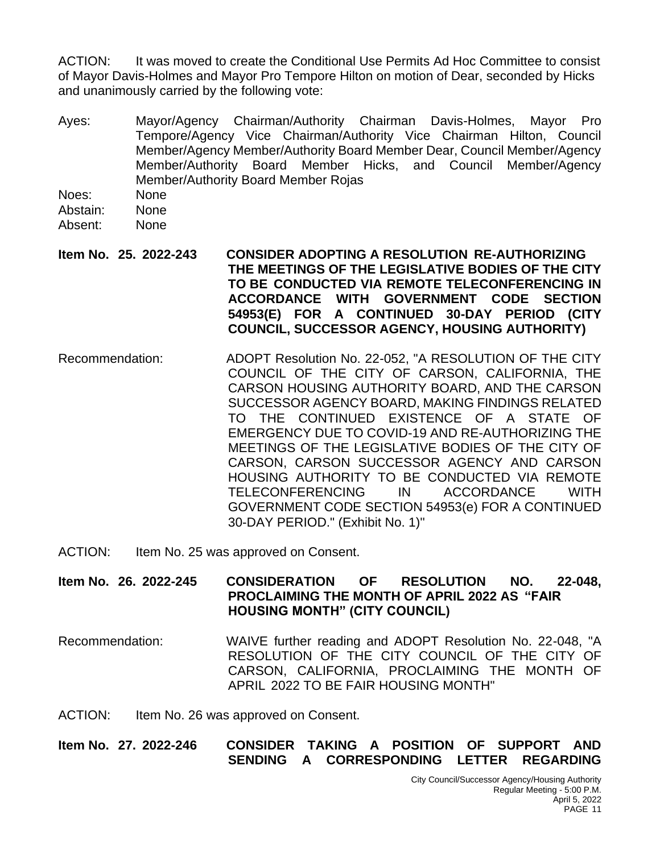ACTION: It was moved to create the Conditional Use Permits Ad Hoc Committee to consist of Mayor Davis-Holmes and Mayor Pro Tempore Hilton on motion of Dear, seconded by Hicks and unanimously carried by the following vote:

- Ayes: Mayor/Agency Chairman/Authority Chairman Davis-Holmes, Mayor Pro Tempore/Agency Vice Chairman/Authority Vice Chairman Hilton, Council Member/Agency Member/Authority Board Member Dear, Council Member/Agency Member/Authority Board Member Hicks, and Council Member/Agency Member/Authority Board Member Rojas
- Noes: None
- Abstain: None
- Absent: None
- **Item No. 25. 2022-243 CONSIDER ADOPTING A RESOLUTION RE-AUTHORIZING THE MEETINGS OF THE LEGISLATIVE BODIES OF THE CITY TO BE CONDUCTED VIA REMOTE TELECONFERENCING IN ACCORDANCE WITH GOVERNMENT CODE SECTION 54953(E) FOR A CONTINUED 30-DAY PERIOD (CITY COUNCIL, SUCCESSOR AGENCY, HOUSING AUTHORITY)**
- Recommendation: ADOPT Resolution No. 22-052, "A RESOLUTION OF THE CITY COUNCIL OF THE CITY OF CARSON, CALIFORNIA, THE CARSON HOUSING AUTHORITY BOARD, AND THE CARSON SUCCESSOR AGENCY BOARD, MAKING FINDINGS RELATED TO THE CONTINUED EXISTENCE OF A STATE OF EMERGENCY DUE TO COVID-19 AND RE-AUTHORIZING THE MEETINGS OF THE LEGISLATIVE BODIES OF THE CITY OF CARSON, CARSON SUCCESSOR AGENCY AND CARSON HOUSING AUTHORITY TO BE CONDUCTED VIA REMOTE TELECONFERENCING IN ACCORDANCE WITH GOVERNMENT CODE SECTION 54953(e) FOR A CONTINUED 30-DAY PERIOD." (Exhibit No. 1)''
- ACTION: Item No. 25 was approved on Consent.

**Item No. 26. 2022-245 CONSIDERATION OF RESOLUTION NO. 22-048, PROCLAIMING THE MONTH OF APRIL 2022 AS "FAIR HOUSING MONTH" (CITY COUNCIL)**

Recommendation: WAIVE further reading and ADOPT Resolution No. 22-048, "A RESOLUTION OF THE CITY COUNCIL OF THE CITY OF CARSON, CALIFORNIA, PROCLAIMING THE MONTH OF APRIL 2022 TO BE FAIR HOUSING MONTH"

ACTION: Item No. 26 was approved on Consent.

**Item No. 27. 2022-246 CONSIDER TAKING A POSITION OF SUPPORT AND SENDING A CORRESPONDING LETTER REGARDING**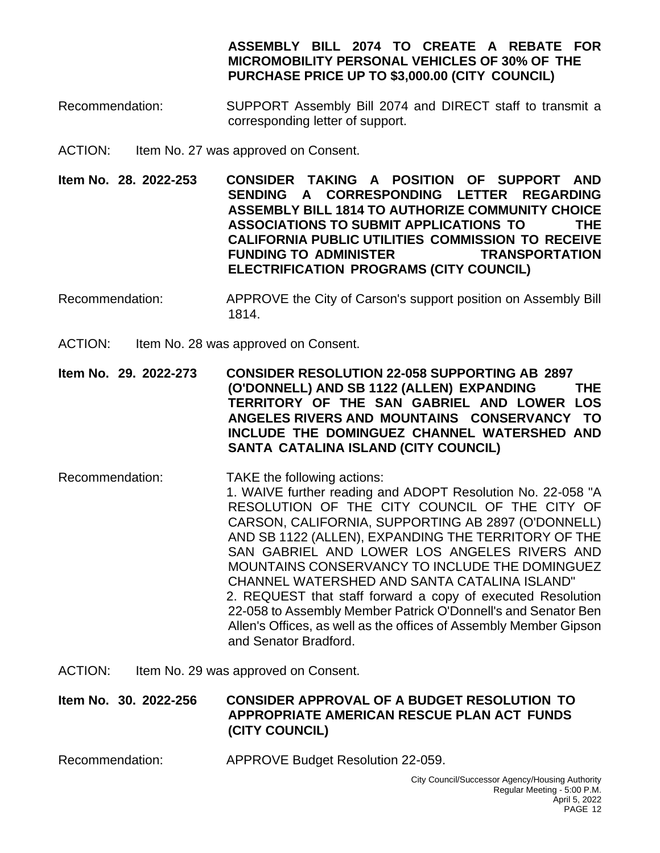# **ASSEMBLY BILL 2074 TO CREATE A REBATE FOR MICROMOBILITY PERSONAL VEHICLES OF 30% OF THE PURCHASE PRICE UP TO \$3,000.00 (CITY COUNCIL)**

- Recommendation: SUPPORT Assembly Bill 2074 and DIRECT staff to transmit a corresponding letter of support.
- ACTION: Item No. 27 was approved on Consent.
- **Item No. 28. 2022-253 CONSIDER TAKING A POSITION OF SUPPORT AND SENDING A CORRESPONDING LETTER REGARDING ASSEMBLY BILL 1814 TO AUTHORIZE COMMUNITY CHOICE ASSOCIATIONS TO SUBMIT APPLICATIONS TO THE CALIFORNIA PUBLIC UTILITIES COMMISSION TO RECEIVE FUNDING TO ADMINISTER TRANSPORTATION ELECTRIFICATION PROGRAMS (CITY COUNCIL)**
- Recommendation: APPROVE the City of Carson's support position on Assembly Bill 1814.
- ACTION: Item No. 28 was approved on Consent.
- **Item No. 29. 2022-273 CONSIDER RESOLUTION 22-058 SUPPORTING AB 2897 (O'DONNELL) AND SB 1122 (ALLEN) EXPANDING THE TERRITORY OF THE SAN GABRIEL AND LOWER LOS ANGELES RIVERS AND MOUNTAINS CONSERVANCY TO INCLUDE THE DOMINGUEZ CHANNEL WATERSHED AND SANTA CATALINA ISLAND (CITY COUNCIL)**
- Recommendation: TAKE the following actions: 1. WAIVE further reading and ADOPT Resolution No. 22-058 "A RESOLUTION OF THE CITY COUNCIL OF THE CITY OF CARSON, CALIFORNIA, SUPPORTING AB 2897 (O'DONNELL) AND SB 1122 (ALLEN), EXPANDING THE TERRITORY OF THE SAN GABRIEL AND LOWER LOS ANGELES RIVERS AND MOUNTAINS CONSERVANCY TO INCLUDE THE DOMINGUEZ CHANNEL WATERSHED AND SANTA CATALINA ISLAND" 2. REQUEST that staff forward a copy of executed Resolution 22-058 to Assembly Member Patrick O'Donnell's and Senator Ben Allen's Offices, as well as the offices of Assembly Member Gipson and Senator Bradford.
- ACTION: Item No. 29 was approved on Consent.

#### **Item No. 30. 2022-256 CONSIDER APPROVAL OF A BUDGET RESOLUTION TO APPROPRIATE AMERICAN RESCUE PLAN ACT FUNDS (CITY COUNCIL)**

Recommendation: APPROVE Budget Resolution 22-059.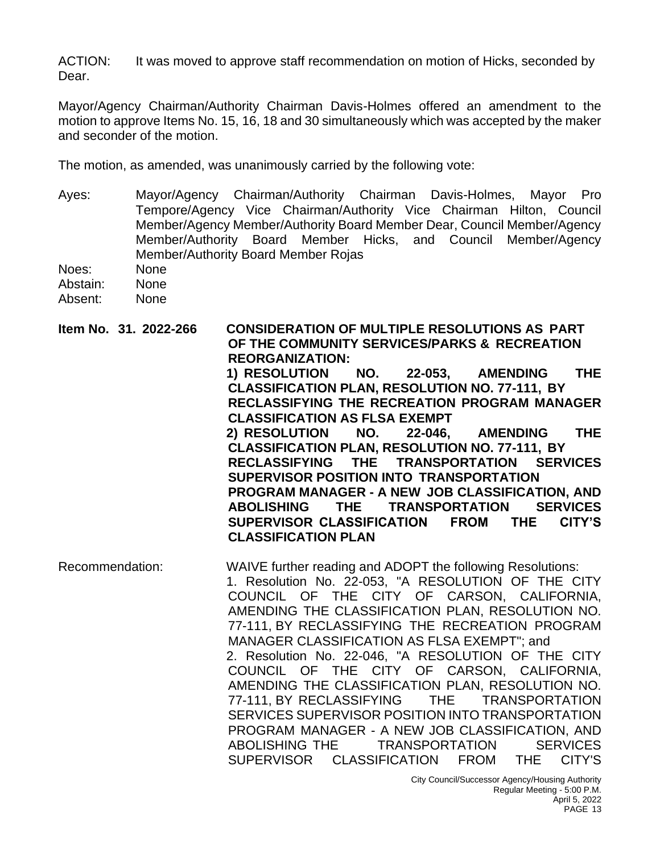ACTION: It was moved to approve staff recommendation on motion of Hicks, seconded by Dear.

Mayor/Agency Chairman/Authority Chairman Davis-Holmes offered an amendment to the motion to approve Items No. 15, 16, 18 and 30 simultaneously which was accepted by the maker and seconder of the motion.

The motion, as amended, was unanimously carried by the following vote:

- Ayes: Mayor/Agency Chairman/Authority Chairman Davis-Holmes, Mayor Pro Tempore/Agency Vice Chairman/Authority Vice Chairman Hilton, Council Member/Agency Member/Authority Board Member Dear, Council Member/Agency Member/Authority Board Member Hicks, and Council Member/Agency Member/Authority Board Member Rojas
- Noes: None Abstain: None Absent: None
- **Item No. 31. 2022-266 CONSIDERATION OF MULTIPLE RESOLUTIONS AS PART OF THE COMMUNITY SERVICES/PARKS & RECREATION REORGANIZATION: 1) RESOLUTION NO. 22-053, AMENDING THE CLASSIFICATION PLAN, RESOLUTION NO. 77-111, BY RECLASSIFYING THE RECREATION PROGRAM MANAGER CLASSIFICATION AS FLSA EXEMPT**

**2) RESOLUTION NO. 22-046, AMENDING THE CLASSIFICATION PLAN, RESOLUTION NO. 77-111, BY RECLASSIFYING THE TRANSPORTATION SERVICES SUPERVISOR POSITION INTO TRANSPORTATION PROGRAM MANAGER - A NEW JOB CLASSIFICATION, AND ABOLISHING THE TRANSPORTATION SERVICES SUPERVISOR CLASSIFICATION FROM THE CITY'S CLASSIFICATION PLAN**

Recommendation: WAIVE further reading and ADOPT the following Resolutions: 1. Resolution No. 22-053, "A RESOLUTION OF THE CITY COUNCIL OF THE CITY OF CARSON, CALIFORNIA, AMENDING THE CLASSIFICATION PLAN, RESOLUTION NO. 77-111, BY RECLASSIFYING THE RECREATION PROGRAM MANAGER CLASSIFICATION AS FLSA EXEMPT"; and 2. Resolution No. 22-046, "A RESOLUTION OF THE CITY COUNCIL OF THE CITY OF CARSON, CALIFORNIA, AMENDING THE CLASSIFICATION PLAN, RESOLUTION NO. 77-111, BY RECLASSIFYING THE TRANSPORTATION SERVICES SUPERVISOR POSITION INTO TRANSPORTATION PROGRAM MANAGER - A NEW JOB CLASSIFICATION, AND ABOLISHING THE TRANSPORTATION SERVICES SUPERVISOR CLASSIFICATION FROM THE CITY'S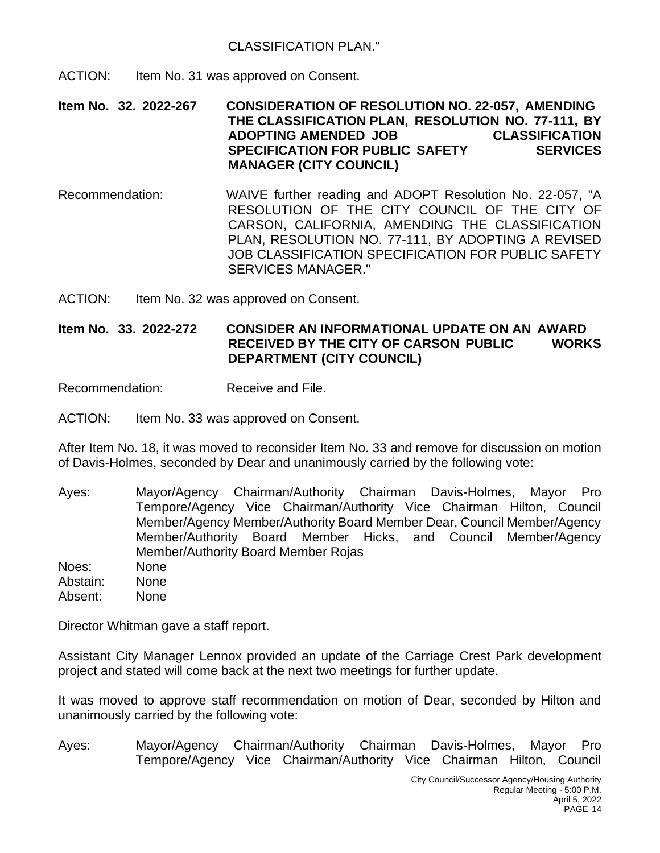ACTION: Item No. 31 was approved on Consent.

**Item No. 32. 2022-267 CONSIDERATION OF RESOLUTION NO. 22-057, AMENDING THE CLASSIFICATION PLAN, RESOLUTION NO. 77-111, BY ADOPTING AMENDED JOB CLASSIFICATION SPECIFICATION FOR PUBLIC SAFETY SERVICES MANAGER (CITY COUNCIL)**

- Recommendation: WAIVE further reading and ADOPT Resolution No. 22-057, "A RESOLUTION OF THE CITY COUNCIL OF THE CITY OF CARSON, CALIFORNIA, AMENDING THE CLASSIFICATION PLAN, RESOLUTION NO. 77-111, BY ADOPTING A REVISED JOB CLASSIFICATION SPECIFICATION FOR PUBLIC SAFETY SERVICES MANAGER."
- ACTION: Item No. 32 was approved on Consent.

**Item No. 33. 2022-272 CONSIDER AN INFORMATIONAL UPDATE ON AN AWARD RECEIVED BY THE CITY OF CARSON PUBLIC WORKS DEPARTMENT (CITY COUNCIL)**

Recommendation: Receive and File.

ACTION: Item No. 33 was approved on Consent.

After Item No. 18, it was moved to reconsider Item No. 33 and remove for discussion on motion of Davis-Holmes, seconded by Dear and unanimously carried by the following vote:

Ayes: Mayor/Agency Chairman/Authority Chairman Davis-Holmes, Mayor Pro Tempore/Agency Vice Chairman/Authority Vice Chairman Hilton, Council Member/Agency Member/Authority Board Member Dear, Council Member/Agency Member/Authority Board Member Hicks, and Council Member/Agency Member/Authority Board Member Rojas Noes: None Abstain: None Absent: None

Director Whitman gave a staff report.

Assistant City Manager Lennox provided an update of the Carriage Crest Park development project and stated will come back at the next two meetings for further update.

It was moved to approve staff recommendation on motion of Dear, seconded by Hilton and unanimously carried by the following vote:

Ayes: Mayor/Agency Chairman/Authority Chairman Davis-Holmes, Mayor Pro Tempore/Agency Vice Chairman/Authority Vice Chairman Hilton, Council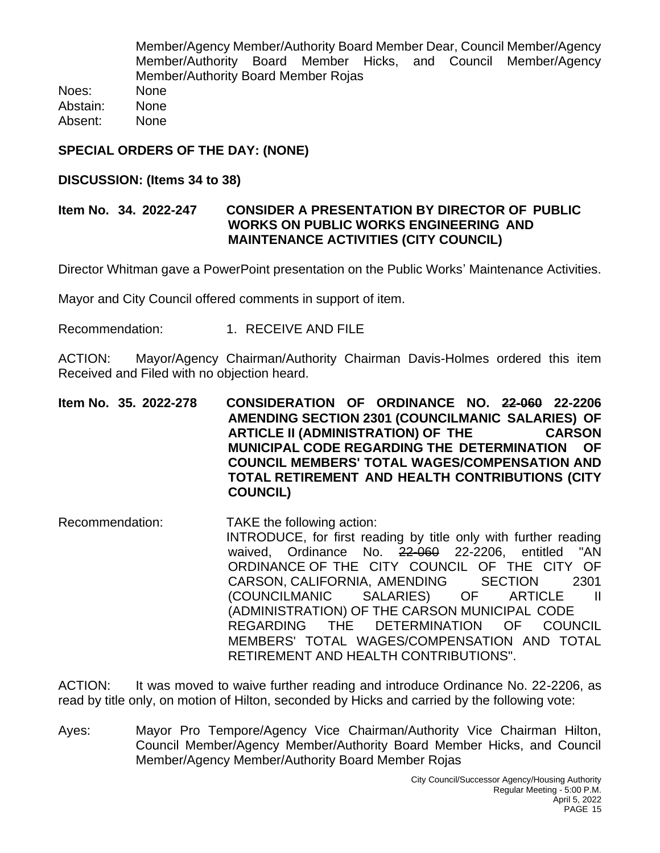Member/Agency Member/Authority Board Member Dear, Council Member/Agency Member/Authority Board Member Hicks, and Council Member/Agency Member/Authority Board Member Rojas

Noes: None Abstain: None Absent: None

# **SPECIAL ORDERS OF THE DAY: (NONE)**

# **DISCUSSION: (Items 34 to 38)**

# **Item No. 34. 2022-247 CONSIDER A PRESENTATION BY DIRECTOR OF PUBLIC WORKS ON PUBLIC WORKS ENGINEERING AND MAINTENANCE ACTIVITIES (CITY COUNCIL)**

Director Whitman gave a PowerPoint presentation on the Public Works' Maintenance Activities.

Mayor and City Council offered comments in support of item.

Recommendation: 1. RECEIVE AND FILE

ACTION: Mayor/Agency Chairman/Authority Chairman Davis-Holmes ordered this item Received and Filed with no objection heard.

**Item No. 35. 2022-278 CONSIDERATION OF ORDINANCE NO. 22-060 22-2206 AMENDING SECTION 2301 (COUNCILMANIC SALARIES) OF ARTICLE II (ADMINISTRATION) OF THE CARSON MUNICIPAL CODE REGARDING THE DETERMINATION OF COUNCIL MEMBERS' TOTAL WAGES/COMPENSATION AND TOTAL RETIREMENT AND HEALTH CONTRIBUTIONS (CITY COUNCIL)**

Recommendation: TAKE the following action: INTRODUCE, for first reading by title only with further reading waived, Ordinance No. 22-060 22-2206, entitled "AN ORDINANCE OF THE CITY COUNCIL OF THE CITY OF CARSON, CALIFORNIA, AMENDING SECTION 2301<br>(COUNCILMANIC SALARIES) OF ARTICLE II (COUNCILMANIC SALARIES) OF ARTICLE II (ADMINISTRATION) OF THE CARSON MUNICIPAL CODE REGARDING THE DETERMINATION OF COUNCIL MEMBERS' TOTAL WAGES/COMPENSATION AND TOTAL RETIREMENT AND HEALTH CONTRIBUTIONS".

ACTION: It was moved to waive further reading and introduce Ordinance No. 22-2206, as read by title only, on motion of Hilton, seconded by Hicks and carried by the following vote:

Ayes: Mayor Pro Tempore/Agency Vice Chairman/Authority Vice Chairman Hilton, Council Member/Agency Member/Authority Board Member Hicks, and Council Member/Agency Member/Authority Board Member Rojas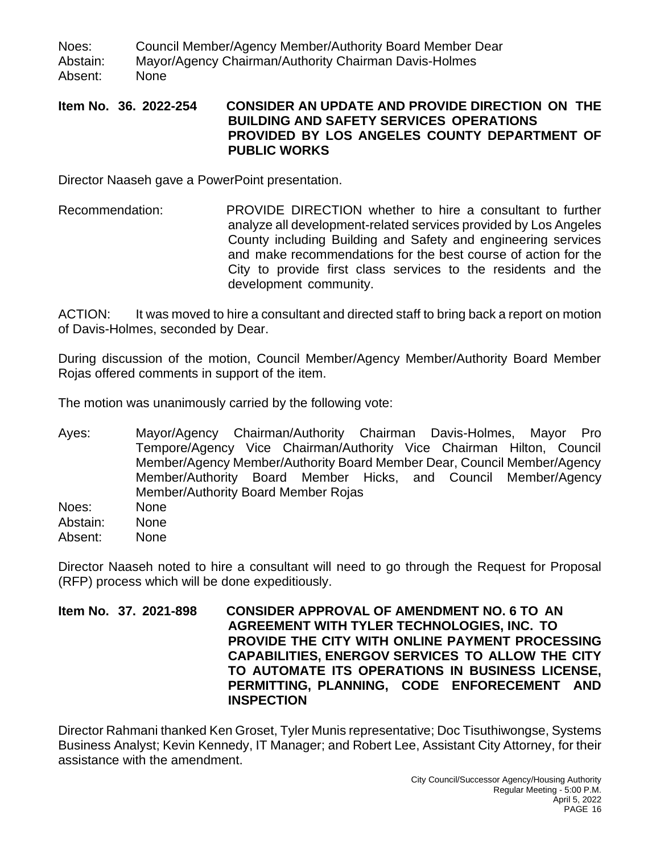Noes: Council Member/Agency Member/Authority Board Member Dear Abstain: Mayor/Agency Chairman/Authority Chairman Davis-Holmes Absent: None

#### **Item No. 36. 2022-254 CONSIDER AN UPDATE AND PROVIDE DIRECTION ON THE BUILDING AND SAFETY SERVICES OPERATIONS PROVIDED BY LOS ANGELES COUNTY DEPARTMENT OF PUBLIC WORKS**

Director Naaseh gave a PowerPoint presentation.

Recommendation: PROVIDE DIRECTION whether to hire a consultant to further analyze all development-related services provided by Los Angeles County including Building and Safety and engineering services and make recommendations for the best course of action for the City to provide first class services to the residents and the development community.

ACTION: It was moved to hire a consultant and directed staff to bring back a report on motion of Davis-Holmes, seconded by Dear.

During discussion of the motion, Council Member/Agency Member/Authority Board Member Rojas offered comments in support of the item.

The motion was unanimously carried by the following vote:

Ayes: Mayor/Agency Chairman/Authority Chairman Davis-Holmes, Mayor Pro Tempore/Agency Vice Chairman/Authority Vice Chairman Hilton, Council Member/Agency Member/Authority Board Member Dear, Council Member/Agency Member/Authority Board Member Hicks, and Council Member/Agency Member/Authority Board Member Rojas

Noes: None Abstain: None Absent: None

Director Naaseh noted to hire a consultant will need to go through the Request for Proposal (RFP) process which will be done expeditiously.

**Item No. 37. 2021-898 CONSIDER APPROVAL OF AMENDMENT NO. 6 TO AN AGREEMENT WITH TYLER TECHNOLOGIES, INC. TO PROVIDE THE CITY WITH ONLINE PAYMENT PROCESSING CAPABILITIES, ENERGOV SERVICES TO ALLOW THE CITY TO AUTOMATE ITS OPERATIONS IN BUSINESS LICENSE, PERMITTING, PLANNING, CODE ENFORECEMENT AND INSPECTION**

Director Rahmani thanked Ken Groset, Tyler Munis representative; Doc Tisuthiwongse, Systems Business Analyst; Kevin Kennedy, IT Manager; and Robert Lee, Assistant City Attorney, for their assistance with the amendment.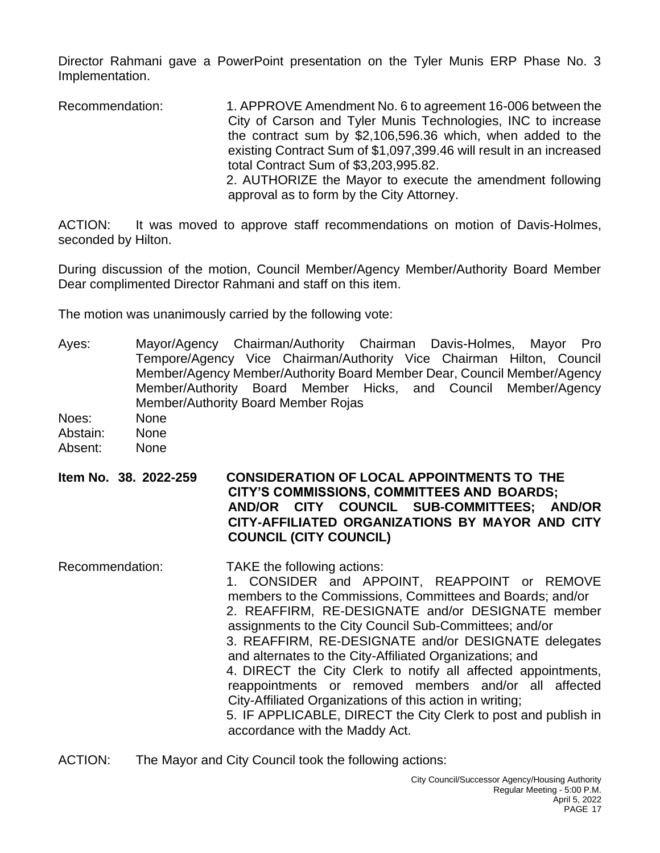Director Rahmani gave a PowerPoint presentation on the Tyler Munis ERP Phase No. 3 Implementation.

Recommendation: 1. APPROVE Amendment No. 6 to agreement 16-006 between the City of Carson and Tyler Munis Technologies, INC to increase the contract sum by \$2,106,596.36 which, when added to the existing Contract Sum of \$1,097,399.46 will result in an increased total Contract Sum of \$3,203,995.82. 2. AUTHORIZE the Mayor to execute the amendment following approval as to form by the City Attorney.

ACTION: It was moved to approve staff recommendations on motion of Davis-Holmes, seconded by Hilton.

During discussion of the motion, Council Member/Agency Member/Authority Board Member Dear complimented Director Rahmani and staff on this item.

The motion was unanimously carried by the following vote:

- Ayes: Mayor/Agency Chairman/Authority Chairman Davis-Holmes, Mayor Pro Tempore/Agency Vice Chairman/Authority Vice Chairman Hilton, Council Member/Agency Member/Authority Board Member Dear, Council Member/Agency Member/Authority Board Member Hicks, and Council Member/Agency Member/Authority Board Member Rojas
- Noes: None Abstain: None Absent: None
- **Item No. 38. 2022-259 CONSIDERATION OF LOCAL APPOINTMENTS TO THE CITY'S COMMISSIONS, COMMITTEES AND BOARDS; AND/OR CITY COUNCIL SUB-COMMITTEES; AND/OR CITY-AFFILIATED ORGANIZATIONS BY MAYOR AND CITY COUNCIL (CITY COUNCIL)**
- Recommendation: TAKE the following actions: 1. CONSIDER and APPOINT, REAPPOINT or REMOVE members to the Commissions, Committees and Boards; and/or 2. REAFFIRM, RE-DESIGNATE and/or DESIGNATE member assignments to the City Council Sub-Committees; and/or 3. REAFFIRM, RE-DESIGNATE and/or DESIGNATE delegates and alternates to the City-Affiliated Organizations; and 4. DIRECT the City Clerk to notify all affected appointments, reappointments or removed members and/or all affected City-Affiliated Organizations of this action in writing; 5. IF APPLICABLE, DIRECT the City Clerk to post and publish in accordance with the Maddy Act.
- ACTION: The Mayor and City Council took the following actions: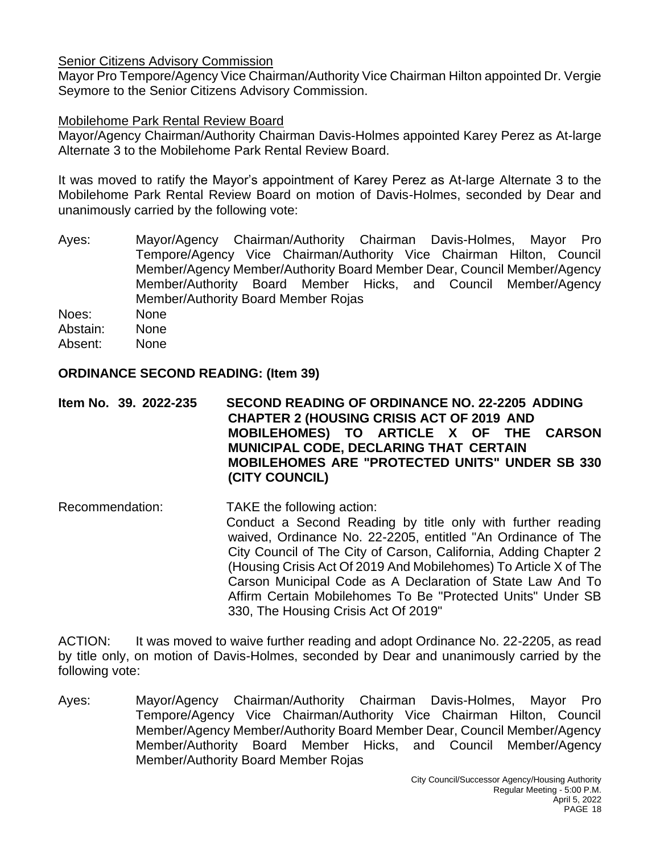## Senior Citizens Advisory Commission

Mayor Pro Tempore/Agency Vice Chairman/Authority Vice Chairman Hilton appointed Dr. Vergie Seymore to the Senior Citizens Advisory Commission.

# Mobilehome Park Rental Review Board

Mayor/Agency Chairman/Authority Chairman Davis-Holmes appointed Karey Perez as At-large Alternate 3 to the Mobilehome Park Rental Review Board.

It was moved to ratify the Mayor's appointment of Karey Perez as At-large Alternate 3 to the Mobilehome Park Rental Review Board on motion of Davis-Holmes, seconded by Dear and unanimously carried by the following vote:

Ayes: Mayor/Agency Chairman/Authority Chairman Davis-Holmes, Mayor Pro Tempore/Agency Vice Chairman/Authority Vice Chairman Hilton, Council Member/Agency Member/Authority Board Member Dear, Council Member/Agency Member/Authority Board Member Hicks, and Council Member/Agency Member/Authority Board Member Rojas

Noes: None Abstain: None

Absent: None

#### **ORDINANCE SECOND READING: (Item 39)**

**Item No. 39. 2022-235 SECOND READING OF ORDINANCE NO. 22-2205 ADDING CHAPTER 2 (HOUSING CRISIS ACT OF 2019 AND MOBILEHOMES) TO ARTICLE X OF THE CARSON MUNICIPAL CODE, DECLARING THAT CERTAIN MOBILEHOMES ARE "PROTECTED UNITS" UNDER SB 330 (CITY COUNCIL)**

Recommendation: TAKE the following action: Conduct a Second Reading by title only with further reading waived, Ordinance No. 22-2205, entitled "An Ordinance of The City Council of The City of Carson, California, Adding Chapter 2 (Housing Crisis Act Of 2019 And Mobilehomes) To Article X of The Carson Municipal Code as A Declaration of State Law And To Affirm Certain Mobilehomes To Be "Protected Units" Under SB 330, The Housing Crisis Act Of 2019"

ACTION: It was moved to waive further reading and adopt Ordinance No. 22-2205, as read by title only, on motion of Davis-Holmes, seconded by Dear and unanimously carried by the following vote:

Ayes: Mayor/Agency Chairman/Authority Chairman Davis-Holmes, Mayor Pro Tempore/Agency Vice Chairman/Authority Vice Chairman Hilton, Council Member/Agency Member/Authority Board Member Dear, Council Member/Agency Member/Authority Board Member Hicks, and Council Member/Agency Member/Authority Board Member Rojas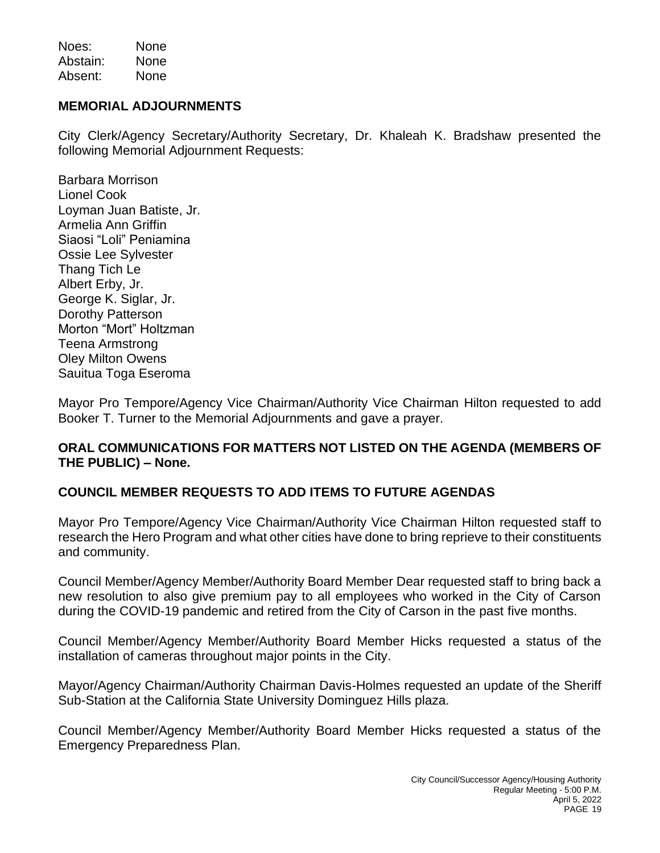Noes: None Abstain: None Absent: None

# **MEMORIAL ADJOURNMENTS**

City Clerk/Agency Secretary/Authority Secretary, Dr. Khaleah K. Bradshaw presented the following Memorial Adjournment Requests:

Barbara Morrison Lionel Cook Loyman Juan Batiste, Jr. Armelia Ann Griffin Siaosi "Loli" Peniamina Ossie Lee Sylvester Thang Tich Le Albert Erby, Jr. George K. Siglar, Jr. Dorothy Patterson Morton "Mort" Holtzman Teena Armstrong Oley Milton Owens Sauitua Toga Eseroma

Mayor Pro Tempore/Agency Vice Chairman/Authority Vice Chairman Hilton requested to add Booker T. Turner to the Memorial Adjournments and gave a prayer.

# **ORAL COMMUNICATIONS FOR MATTERS NOT LISTED ON THE AGENDA (MEMBERS OF THE PUBLIC) – None.**

# **COUNCIL MEMBER REQUESTS TO ADD ITEMS TO FUTURE AGENDAS**

Mayor Pro Tempore/Agency Vice Chairman/Authority Vice Chairman Hilton requested staff to research the Hero Program and what other cities have done to bring reprieve to their constituents and community.

Council Member/Agency Member/Authority Board Member Dear requested staff to bring back a new resolution to also give premium pay to all employees who worked in the City of Carson during the COVID-19 pandemic and retired from the City of Carson in the past five months.

Council Member/Agency Member/Authority Board Member Hicks requested a status of the installation of cameras throughout major points in the City.

Mayor/Agency Chairman/Authority Chairman Davis-Holmes requested an update of the Sheriff Sub-Station at the California State University Dominguez Hills plaza.

Council Member/Agency Member/Authority Board Member Hicks requested a status of the Emergency Preparedness Plan.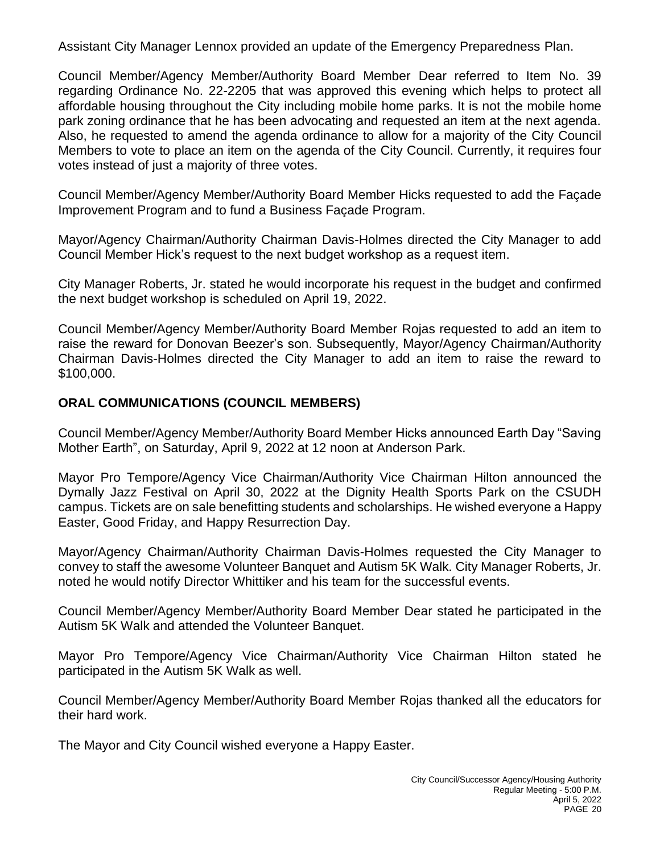Assistant City Manager Lennox provided an update of the Emergency Preparedness Plan.

Council Member/Agency Member/Authority Board Member Dear referred to Item No. 39 regarding Ordinance No. 22-2205 that was approved this evening which helps to protect all affordable housing throughout the City including mobile home parks. It is not the mobile home park zoning ordinance that he has been advocating and requested an item at the next agenda. Also, he requested to amend the agenda ordinance to allow for a majority of the City Council Members to vote to place an item on the agenda of the City Council. Currently, it requires four votes instead of just a majority of three votes.

Council Member/Agency Member/Authority Board Member Hicks requested to add the Façade Improvement Program and to fund a Business Façade Program.

Mayor/Agency Chairman/Authority Chairman Davis-Holmes directed the City Manager to add Council Member Hick's request to the next budget workshop as a request item.

City Manager Roberts, Jr. stated he would incorporate his request in the budget and confirmed the next budget workshop is scheduled on April 19, 2022.

Council Member/Agency Member/Authority Board Member Rojas requested to add an item to raise the reward for Donovan Beezer's son. Subsequently, Mayor/Agency Chairman/Authority Chairman Davis-Holmes directed the City Manager to add an item to raise the reward to \$100,000.

# **ORAL COMMUNICATIONS (COUNCIL MEMBERS)**

Council Member/Agency Member/Authority Board Member Hicks announced Earth Day "Saving Mother Earth", on Saturday, April 9, 2022 at 12 noon at Anderson Park.

Mayor Pro Tempore/Agency Vice Chairman/Authority Vice Chairman Hilton announced the Dymally Jazz Festival on April 30, 2022 at the Dignity Health Sports Park on the CSUDH campus. Tickets are on sale benefitting students and scholarships. He wished everyone a Happy Easter, Good Friday, and Happy Resurrection Day.

Mayor/Agency Chairman/Authority Chairman Davis-Holmes requested the City Manager to convey to staff the awesome Volunteer Banquet and Autism 5K Walk. City Manager Roberts, Jr. noted he would notify Director Whittiker and his team for the successful events.

Council Member/Agency Member/Authority Board Member Dear stated he participated in the Autism 5K Walk and attended the Volunteer Banquet.

Mayor Pro Tempore/Agency Vice Chairman/Authority Vice Chairman Hilton stated he participated in the Autism 5K Walk as well.

Council Member/Agency Member/Authority Board Member Rojas thanked all the educators for their hard work.

The Mayor and City Council wished everyone a Happy Easter.